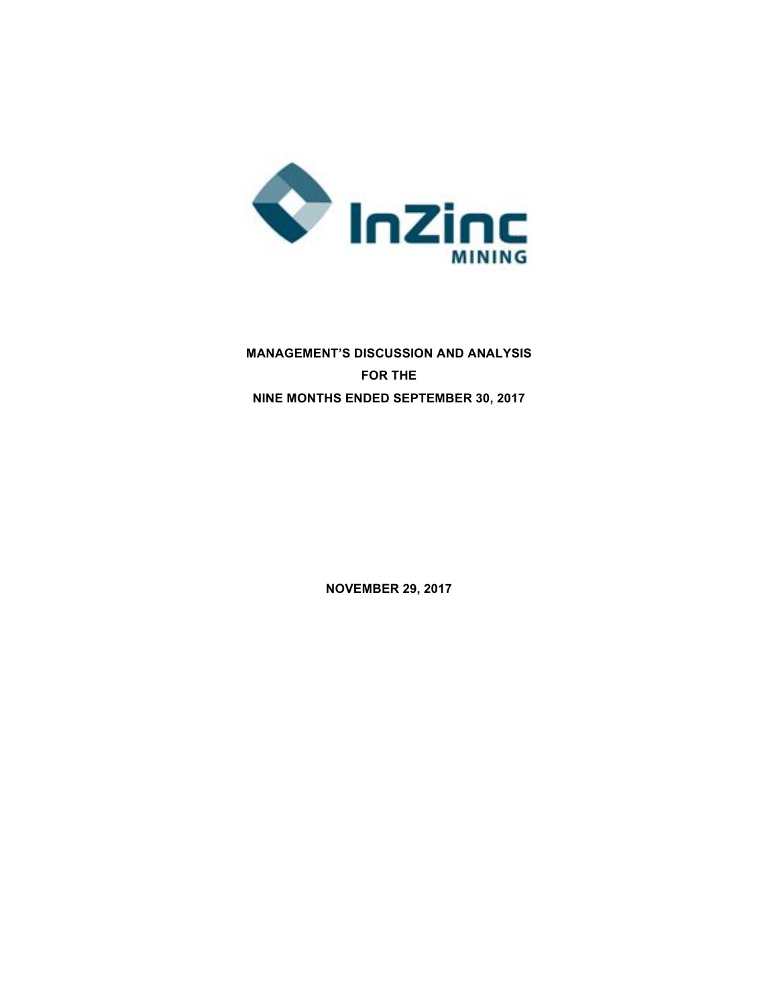

# **MANAGEMENT'S DISCUSSION AND ANALYSIS FOR THE NINE MONTHS ENDED SEPTEMBER 30, 2017**

**NOVEMBER 29, 2017**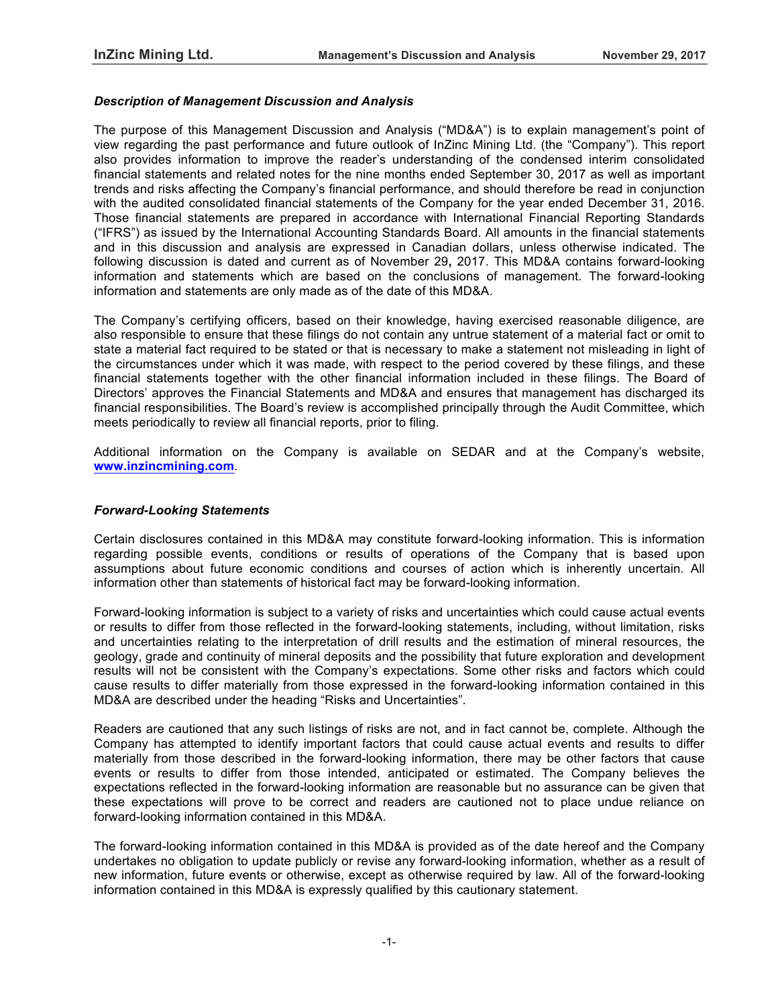## *Description of Management Discussion and Analysis*

The purpose of this Management Discussion and Analysis ("MD&A") is to explain management's point of view regarding the past performance and future outlook of InZinc Mining Ltd. (the "Company"). This report also provides information to improve the reader's understanding of the condensed interim consolidated financial statements and related notes for the nine months ended September 30, 2017 as well as important trends and risks affecting the Company's financial performance, and should therefore be read in conjunction with the audited consolidated financial statements of the Company for the year ended December 31, 2016. Those financial statements are prepared in accordance with International Financial Reporting Standards ("IFRS") as issued by the International Accounting Standards Board. All amounts in the financial statements and in this discussion and analysis are expressed in Canadian dollars, unless otherwise indicated. The following discussion is dated and current as of November 29**,** 2017. This MD&A contains forward-looking information and statements which are based on the conclusions of management. The forward-looking information and statements are only made as of the date of this MD&A.

The Company's certifying officers, based on their knowledge, having exercised reasonable diligence, are also responsible to ensure that these filings do not contain any untrue statement of a material fact or omit to state a material fact required to be stated or that is necessary to make a statement not misleading in light of the circumstances under which it was made, with respect to the period covered by these filings, and these financial statements together with the other financial information included in these filings. The Board of Directors' approves the Financial Statements and MD&A and ensures that management has discharged its financial responsibilities. The Board's review is accomplished principally through the Audit Committee, which meets periodically to review all financial reports, prior to filing.

Additional information on the Company is available on SEDAR and at the Company's website, **www.inzincmining.com**.

## *Forward-Looking Statements*

Certain disclosures contained in this MD&A may constitute forward-looking information. This is information regarding possible events, conditions or results of operations of the Company that is based upon assumptions about future economic conditions and courses of action which is inherently uncertain. All information other than statements of historical fact may be forward-looking information.

Forward-looking information is subject to a variety of risks and uncertainties which could cause actual events or results to differ from those reflected in the forward-looking statements, including, without limitation, risks and uncertainties relating to the interpretation of drill results and the estimation of mineral resources, the geology, grade and continuity of mineral deposits and the possibility that future exploration and development results will not be consistent with the Company's expectations. Some other risks and factors which could cause results to differ materially from those expressed in the forward-looking information contained in this MD&A are described under the heading "Risks and Uncertainties".

Readers are cautioned that any such listings of risks are not, and in fact cannot be, complete. Although the Company has attempted to identify important factors that could cause actual events and results to differ materially from those described in the forward-looking information, there may be other factors that cause events or results to differ from those intended, anticipated or estimated. The Company believes the expectations reflected in the forward-looking information are reasonable but no assurance can be given that these expectations will prove to be correct and readers are cautioned not to place undue reliance on forward-looking information contained in this MD&A.

The forward-looking information contained in this MD&A is provided as of the date hereof and the Company undertakes no obligation to update publicly or revise any forward-looking information, whether as a result of new information, future events or otherwise, except as otherwise required by law. All of the forward-looking information contained in this MD&A is expressly qualified by this cautionary statement.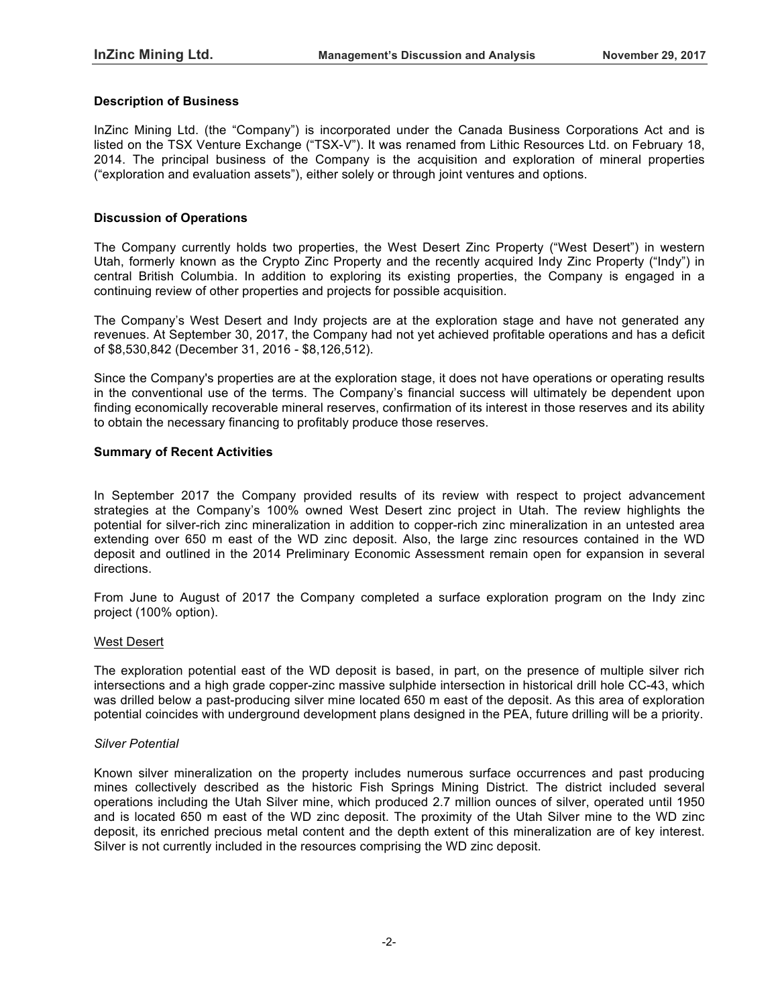## **Description of Business**

InZinc Mining Ltd. (the "Company") is incorporated under the Canada Business Corporations Act and is listed on the TSX Venture Exchange ("TSX-V"). It was renamed from Lithic Resources Ltd. on February 18, 2014. The principal business of the Company is the acquisition and exploration of mineral properties ("exploration and evaluation assets"), either solely or through joint ventures and options.

#### **Discussion of Operations**

The Company currently holds two properties, the West Desert Zinc Property ("West Desert") in western Utah, formerly known as the Crypto Zinc Property and the recently acquired Indy Zinc Property ("Indy") in central British Columbia. In addition to exploring its existing properties, the Company is engaged in a continuing review of other properties and projects for possible acquisition.

The Company's West Desert and Indy projects are at the exploration stage and have not generated any revenues. At September 30, 2017, the Company had not yet achieved profitable operations and has a deficit of \$8,530,842 (December 31, 2016 - \$8,126,512).

Since the Company's properties are at the exploration stage, it does not have operations or operating results in the conventional use of the terms. The Company's financial success will ultimately be dependent upon finding economically recoverable mineral reserves, confirmation of its interest in those reserves and its ability to obtain the necessary financing to profitably produce those reserves.

#### **Summary of Recent Activities**

In September 2017 the Company provided results of its review with respect to project advancement strategies at the Company's 100% owned West Desert zinc project in Utah. The review highlights the potential for silver-rich zinc mineralization in addition to copper-rich zinc mineralization in an untested area extending over 650 m east of the WD zinc deposit. Also, the large zinc resources contained in the WD deposit and outlined in the 2014 Preliminary Economic Assessment remain open for expansion in several directions.

From June to August of 2017 the Company completed a surface exploration program on the Indy zinc project (100% option).

## West Desert

The exploration potential east of the WD deposit is based, in part, on the presence of multiple silver rich intersections and a high grade copper-zinc massive sulphide intersection in historical drill hole CC-43, which was drilled below a past-producing silver mine located 650 m east of the deposit. As this area of exploration potential coincides with underground development plans designed in the PEA, future drilling will be a priority.

#### *Silver Potential*

Known silver mineralization on the property includes numerous surface occurrences and past producing mines collectively described as the historic Fish Springs Mining District. The district included several operations including the Utah Silver mine, which produced 2.7 million ounces of silver, operated until 1950 and is located 650 m east of the WD zinc deposit. The proximity of the Utah Silver mine to the WD zinc deposit, its enriched precious metal content and the depth extent of this mineralization are of key interest. Silver is not currently included in the resources comprising the WD zinc deposit.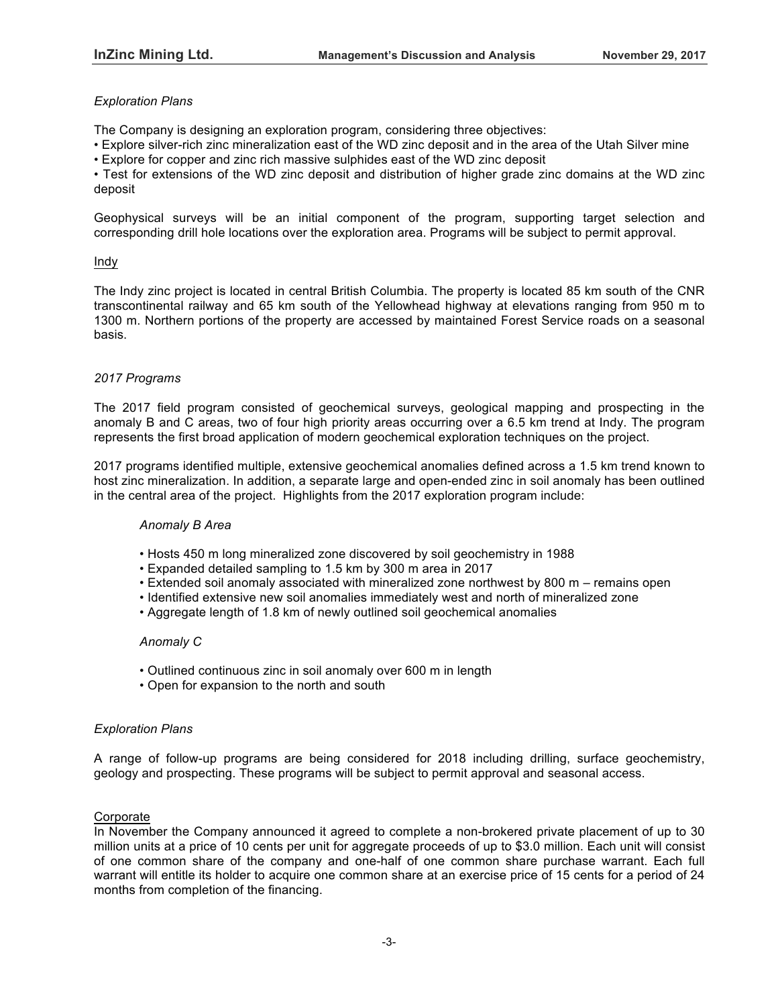# *Exploration Plans*

The Company is designing an exploration program, considering three objectives:

• Explore silver-rich zinc mineralization east of the WD zinc deposit and in the area of the Utah Silver mine

• Explore for copper and zinc rich massive sulphides east of the WD zinc deposit

• Test for extensions of the WD zinc deposit and distribution of higher grade zinc domains at the WD zinc deposit

Geophysical surveys will be an initial component of the program, supporting target selection and corresponding drill hole locations over the exploration area. Programs will be subject to permit approval.

#### Indy

The Indy zinc project is located in central British Columbia. The property is located 85 km south of the CNR transcontinental railway and 65 km south of the Yellowhead highway at elevations ranging from 950 m to 1300 m. Northern portions of the property are accessed by maintained Forest Service roads on a seasonal basis.

## *2017 Programs*

The 2017 field program consisted of geochemical surveys, geological mapping and prospecting in the anomaly B and C areas, two of four high priority areas occurring over a 6.5 km trend at Indy. The program represents the first broad application of modern geochemical exploration techniques on the project.

2017 programs identified multiple, extensive geochemical anomalies defined across a 1.5 km trend known to host zinc mineralization. In addition, a separate large and open-ended zinc in soil anomaly has been outlined in the central area of the project. Highlights from the 2017 exploration program include:

#### *Anomaly B Area*

- Hosts 450 m long mineralized zone discovered by soil geochemistry in 1988
- Expanded detailed sampling to 1.5 km by 300 m area in 2017
- Extended soil anomaly associated with mineralized zone northwest by 800 m remains open
- Identified extensive new soil anomalies immediately west and north of mineralized zone
- Aggregate length of 1.8 km of newly outlined soil geochemical anomalies

#### *Anomaly C*

- Outlined continuous zinc in soil anomaly over 600 m in length
- Open for expansion to the north and south

#### *Exploration Plans*

A range of follow-up programs are being considered for 2018 including drilling, surface geochemistry, geology and prospecting. These programs will be subject to permit approval and seasonal access.

## Corporate

In November the Company announced it agreed to complete a non-brokered private placement of up to 30 million units at a price of 10 cents per unit for aggregate proceeds of up to \$3.0 million. Each unit will consist of one common share of the company and one-half of one common share purchase warrant. Each full warrant will entitle its holder to acquire one common share at an exercise price of 15 cents for a period of 24 months from completion of the financing.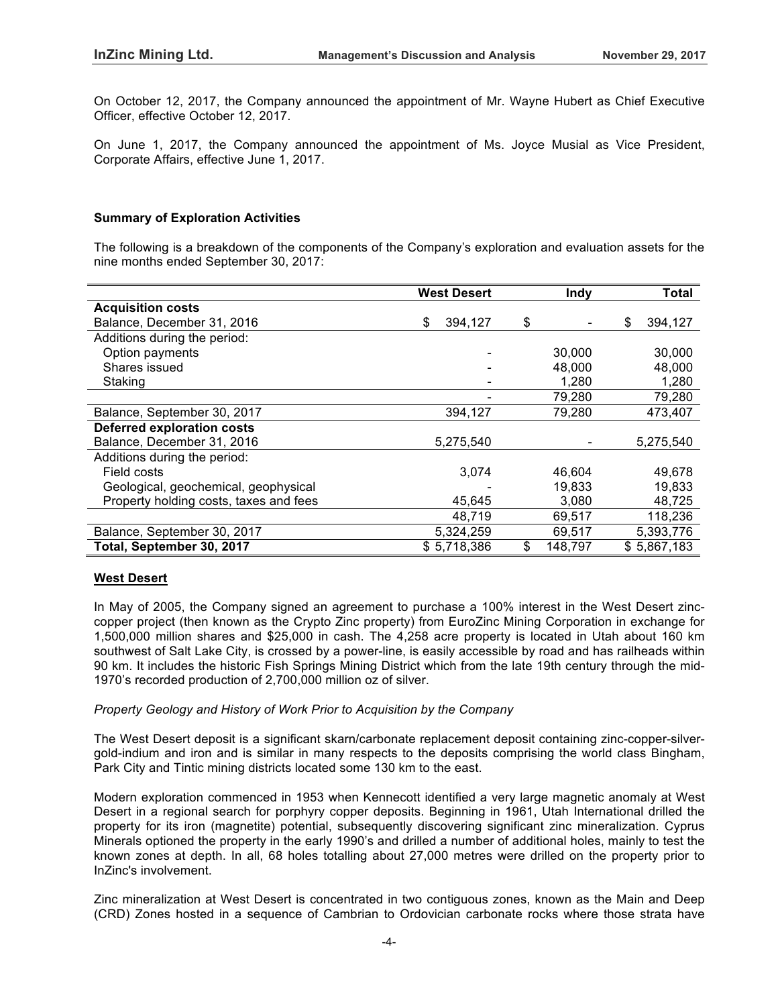On October 12, 2017, the Company announced the appointment of Mr. Wayne Hubert as Chief Executive Officer, effective October 12, 2017.

On June 1, 2017, the Company announced the appointment of Ms. Joyce Musial as Vice President, Corporate Affairs, effective June 1, 2017.

#### **Summary of Exploration Activities**

The following is a breakdown of the components of the Company's exploration and evaluation assets for the nine months ended September 30, 2017:

|                                        | <b>West Desert</b> | Indy          | Total         |
|----------------------------------------|--------------------|---------------|---------------|
| <b>Acquisition costs</b>               |                    |               |               |
| Balance, December 31, 2016             | \$<br>394,127      | \$            | \$<br>394,127 |
| Additions during the period:           |                    |               |               |
| Option payments                        |                    | 30,000        | 30,000        |
| Shares issued                          |                    | 48,000        | 48,000        |
| Staking                                |                    | 1,280         | 1,280         |
|                                        |                    | 79,280        | 79,280        |
| Balance, September 30, 2017            | 394,127            | 79,280        | 473,407       |
| <b>Deferred exploration costs</b>      |                    |               |               |
| Balance, December 31, 2016             | 5,275,540          |               | 5,275,540     |
| Additions during the period:           |                    |               |               |
| Field costs                            | 3,074              | 46,604        | 49,678        |
| Geological, geochemical, geophysical   |                    | 19,833        | 19,833        |
| Property holding costs, taxes and fees | 45,645             | 3,080         | 48,725        |
|                                        | 48,719             | 69,517        | 118,236       |
| Balance, September 30, 2017            | 5,324,259          | 69,517        | 5,393,776     |
| Total, September 30, 2017              | \$5,718,386        | \$<br>148,797 | \$5,867,183   |

## **West Desert**

In May of 2005, the Company signed an agreement to purchase a 100% interest in the West Desert zinccopper project (then known as the Crypto Zinc property) from EuroZinc Mining Corporation in exchange for 1,500,000 million shares and \$25,000 in cash. The 4,258 acre property is located in Utah about 160 km southwest of Salt Lake City, is crossed by a power-line, is easily accessible by road and has railheads within 90 km. It includes the historic Fish Springs Mining District which from the late 19th century through the mid-1970's recorded production of 2,700,000 million oz of silver.

#### *Property Geology and History of Work Prior to Acquisition by the Company*

The West Desert deposit is a significant skarn/carbonate replacement deposit containing zinc-copper-silvergold-indium and iron and is similar in many respects to the deposits comprising the world class Bingham, Park City and Tintic mining districts located some 130 km to the east.

Modern exploration commenced in 1953 when Kennecott identified a very large magnetic anomaly at West Desert in a regional search for porphyry copper deposits. Beginning in 1961, Utah International drilled the property for its iron (magnetite) potential, subsequently discovering significant zinc mineralization. Cyprus Minerals optioned the property in the early 1990's and drilled a number of additional holes, mainly to test the known zones at depth. In all, 68 holes totalling about 27,000 metres were drilled on the property prior to InZinc's involvement.

Zinc mineralization at West Desert is concentrated in two contiguous zones, known as the Main and Deep (CRD) Zones hosted in a sequence of Cambrian to Ordovician carbonate rocks where those strata have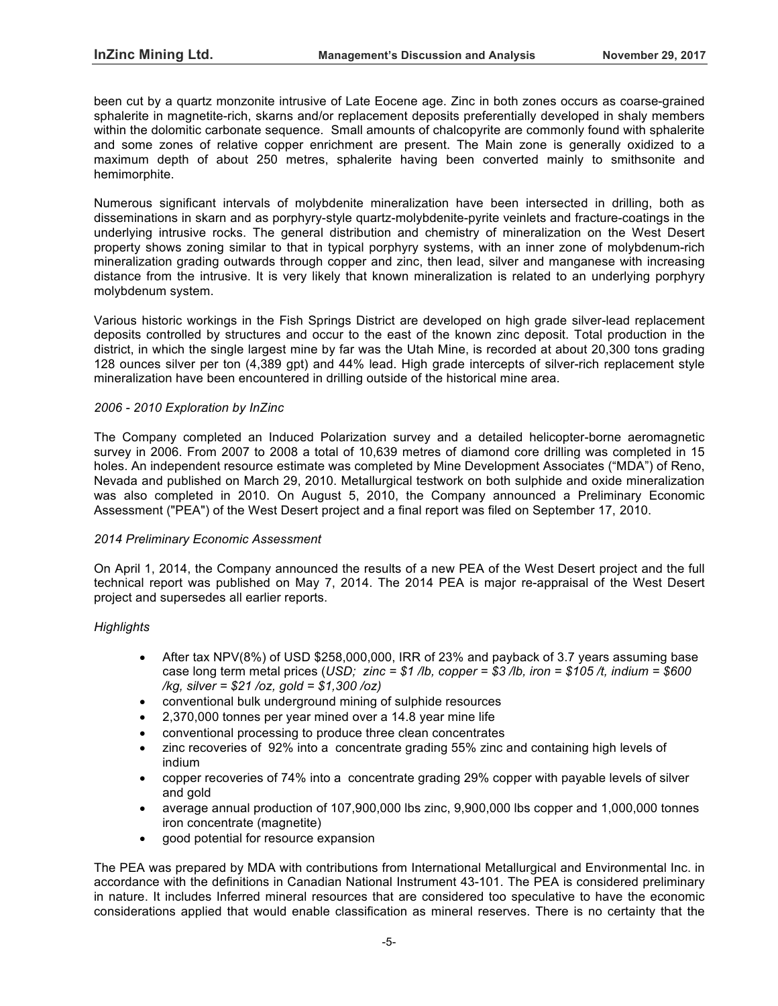been cut by a quartz monzonite intrusive of Late Eocene age. Zinc in both zones occurs as coarse-grained sphalerite in magnetite-rich, skarns and/or replacement deposits preferentially developed in shaly members within the dolomitic carbonate sequence. Small amounts of chalcopyrite are commonly found with sphalerite and some zones of relative copper enrichment are present. The Main zone is generally oxidized to a maximum depth of about 250 metres, sphalerite having been converted mainly to smithsonite and hemimorphite.

Numerous significant intervals of molybdenite mineralization have been intersected in drilling, both as disseminations in skarn and as porphyry-style quartz-molybdenite-pyrite veinlets and fracture-coatings in the underlying intrusive rocks. The general distribution and chemistry of mineralization on the West Desert property shows zoning similar to that in typical porphyry systems, with an inner zone of molybdenum-rich mineralization grading outwards through copper and zinc, then lead, silver and manganese with increasing distance from the intrusive. It is very likely that known mineralization is related to an underlying porphyry molybdenum system.

Various historic workings in the Fish Springs District are developed on high grade silver-lead replacement deposits controlled by structures and occur to the east of the known zinc deposit. Total production in the district, in which the single largest mine by far was the Utah Mine, is recorded at about 20,300 tons grading 128 ounces silver per ton (4,389 gpt) and 44% lead. High grade intercepts of silver-rich replacement style mineralization have been encountered in drilling outside of the historical mine area.

## *2006 - 2010 Exploration by InZinc*

The Company completed an Induced Polarization survey and a detailed helicopter-borne aeromagnetic survey in 2006. From 2007 to 2008 a total of 10,639 metres of diamond core drilling was completed in 15 holes. An independent resource estimate was completed by Mine Development Associates ("MDA") of Reno, Nevada and published on March 29, 2010. Metallurgical testwork on both sulphide and oxide mineralization was also completed in 2010. On August 5, 2010, the Company announced a Preliminary Economic Assessment ("PEA") of the West Desert project and a final report was filed on September 17, 2010.

#### *2014 Preliminary Economic Assessment*

On April 1, 2014, the Company announced the results of a new PEA of the West Desert project and the full technical report was published on May 7, 2014. The 2014 PEA is major re-appraisal of the West Desert project and supersedes all earlier reports.

## *Highlights*

- After tax NPV(8%) of USD \$258,000,000, IRR of 23% and payback of 3.7 years assuming base case long term metal prices (*USD; zinc = \$1 /lb, copper = \$3 /lb, iron = \$105 /t, indium = \$600 /kg, silver = \$21 /oz, gold = \$1,300 /oz)*
- conventional bulk underground mining of sulphide resources
- 2,370,000 tonnes per year mined over a 14.8 year mine life
- conventional processing to produce three clean concentrates
- zinc recoveries of 92% into a concentrate grading 55% zinc and containing high levels of indium
- copper recoveries of 74% into a concentrate grading 29% copper with payable levels of silver and gold
- average annual production of 107,900,000 lbs zinc, 9,900,000 lbs copper and 1,000,000 tonnes iron concentrate (magnetite)
- good potential for resource expansion

The PEA was prepared by MDA with contributions from International Metallurgical and Environmental Inc. in accordance with the definitions in Canadian National Instrument 43-101. The PEA is considered preliminary in nature. It includes Inferred mineral resources that are considered too speculative to have the economic considerations applied that would enable classification as mineral reserves. There is no certainty that the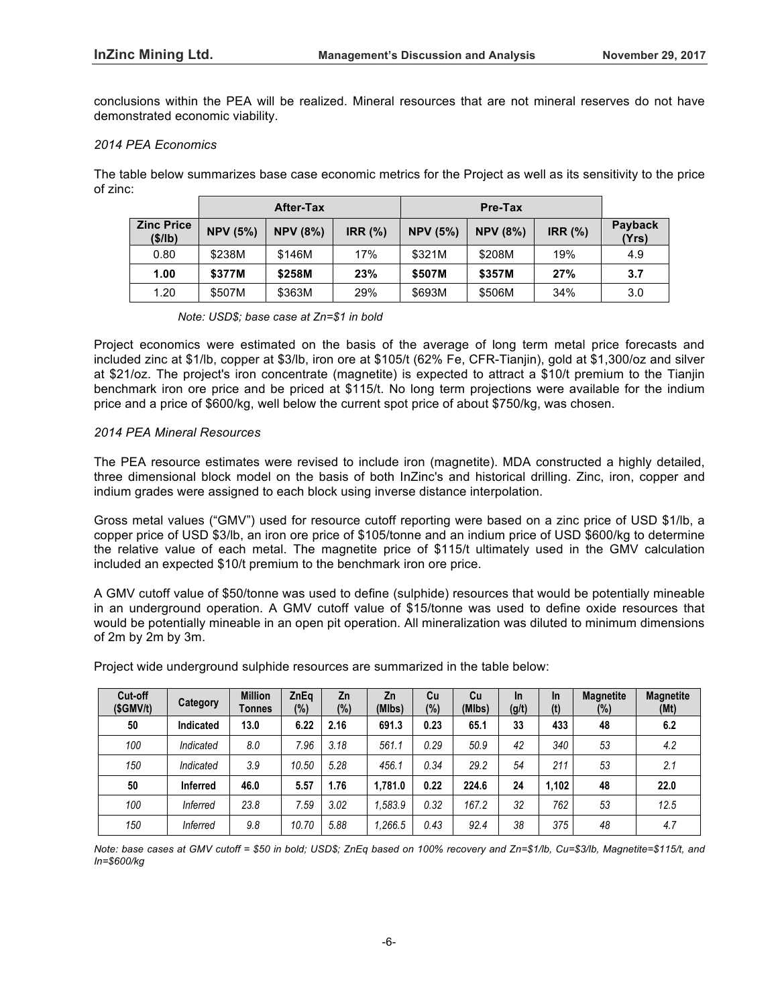conclusions within the PEA will be realized. Mineral resources that are not mineral reserves do not have demonstrated economic viability.

#### *2014 PEA Economics*

The table below summarizes base case economic metrics for the Project as well as its sensitivity to the price of zinc:

|                             |                 | <b>After-Tax</b> |                |                 | Pre-Tax         |                |                  |
|-----------------------------|-----------------|------------------|----------------|-----------------|-----------------|----------------|------------------|
| <b>Zinc Price</b><br>(S/lb) | <b>NPV (5%)</b> | <b>NPV (8%)</b>  | <b>IRR (%)</b> | <b>NPV (5%)</b> | <b>NPV (8%)</b> | <b>IRR (%)</b> | Payback<br>(Yrs) |
| 0.80                        | \$238M          | \$146M           | 17%            | \$321M          | \$208M          | 19%            | 4.9              |
| 1.00                        | \$377M          | \$258M           | 23%            | \$507M          | \$357M          | 27%            | 3.7              |
| 1.20                        | \$507M          | \$363M           | 29%            | \$693M          | \$506M          | 34%            | 3.0              |

*Note: USD\$; base case at Zn=\$1 in bold*

Project economics were estimated on the basis of the average of long term metal price forecasts and included zinc at \$1/lb, copper at \$3/lb, iron ore at \$105/t (62% Fe, CFR-Tianjin), gold at \$1,300/oz and silver at \$21/oz. The project's iron concentrate (magnetite) is expected to attract a \$10/t premium to the Tianjin benchmark iron ore price and be priced at \$115/t. No long term projections were available for the indium price and a price of \$600/kg, well below the current spot price of about \$750/kg, was chosen.

## *2014 PEA Mineral Resources*

The PEA resource estimates were revised to include iron (magnetite). MDA constructed a highly detailed, three dimensional block model on the basis of both InZinc's and historical drilling. Zinc, iron, copper and indium grades were assigned to each block using inverse distance interpolation.

Gross metal values ("GMV") used for resource cutoff reporting were based on a zinc price of USD \$1/lb, a copper price of USD \$3/lb, an iron ore price of \$105/tonne and an indium price of USD \$600/kg to determine the relative value of each metal. The magnetite price of \$115/t ultimately used in the GMV calculation included an expected \$10/t premium to the benchmark iron ore price.

A GMV cutoff value of \$50/tonne was used to define (sulphide) resources that would be potentially mineable in an underground operation. A GMV cutoff value of \$15/tonne was used to define oxide resources that would be potentially mineable in an open pit operation. All mineralization was diluted to minimum dimensions of 2m by 2m by 3m.

| Cut-off<br>(SGMV/t) | Category        | <b>Million</b><br>Tonnes | ZnEq<br>$(\%)$ | Zn<br>(%) | Zn<br>(MIbs) | Cu<br>$(\%)$ | Cu<br>(MIbs) | <b>In</b><br>(g/t) | <b>In</b><br>(t) | <b>Magnetite</b><br>$(\%)$ | <b>Magnetite</b><br>(Mt) |
|---------------------|-----------------|--------------------------|----------------|-----------|--------------|--------------|--------------|--------------------|------------------|----------------------------|--------------------------|
| 50                  | Indicated       | 13.0                     | 6.22           | 2.16      | 691.3        | 0.23         | 65.1         | 33                 | 433              | 48                         | 6.2                      |
| 100                 | Indicated       | 8.0                      | 7.96           | 3.18      | 561.1        | 0.29         | 50.9         | 42                 | 340              | 53                         | 4.2                      |
| 150                 | Indicated       | 3.9                      | 10.50          | 5.28      | 456.1        | 0.34         | 29.2         | 54                 | 211              | 53                         | 2.1                      |
| 50                  | <b>Inferred</b> | 46.0                     | 5.57           | 1.76      | 1.781.0      | 0.22         | 224.6        | 24                 | 1.102            | 48                         | 22.0                     |
| 100                 | <b>Inferred</b> | 23.8                     | 7.59           | 3.02      | 1.583.9      | 0.32         | 167.2        | 32                 | 762              | 53                         | 12.5                     |
| 150                 | <b>Inferred</b> | 9.8                      | 10.70          | 5.88      | 1.266.5      | 0.43         | 92.4         | 38                 | 375              | 48                         | 4.7                      |

Project wide underground sulphide resources are summarized in the table below:

*Note: base cases at GMV cutoff = \$50 in bold; USD\$; ZnEq based on 100% recovery and Zn=\$1/lb, Cu=\$3/lb, Magnetite=\$115/t, and In=\$600/kg*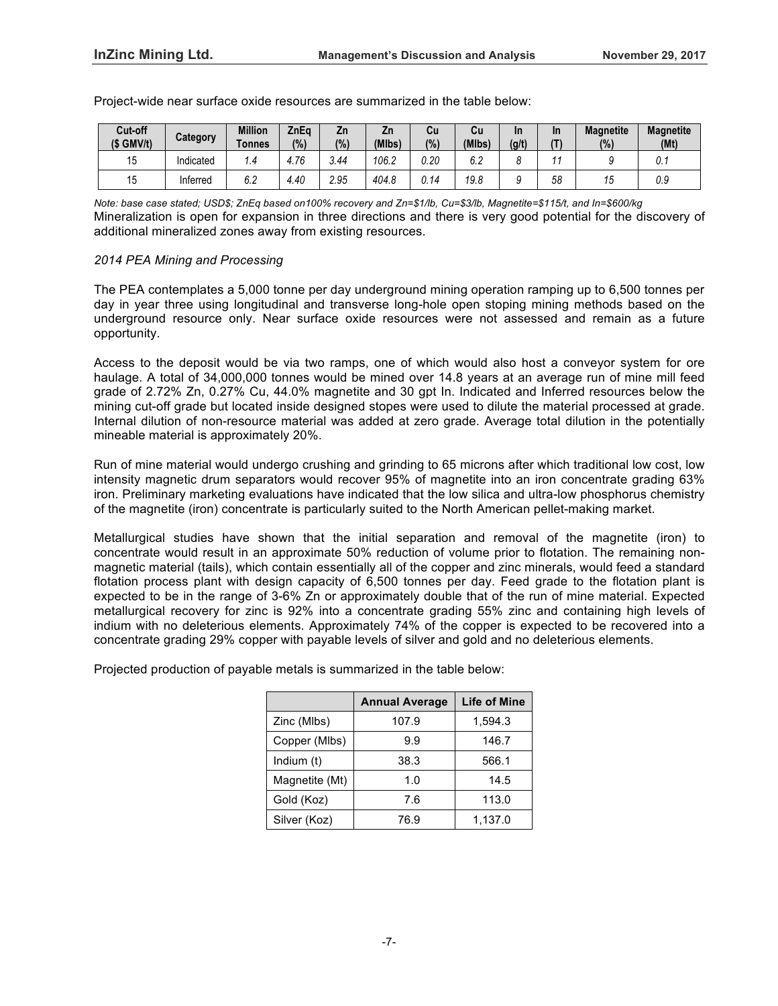| Cut-off<br>$(S \text{ GMV/t})$ | Category  | Million<br><b>Tonnes</b> | ZnEa<br>(%) | Ζn<br>(% ) | Zn.<br>(MIbs) | Сu<br>(%) | Cu<br>(MIbs)         | In<br>(g/t) | In<br>(T) | <b>Magnetite</b><br>(%) | <b>Magnetite</b><br>(Mt) |
|--------------------------------|-----------|--------------------------|-------------|------------|---------------|-----------|----------------------|-------------|-----------|-------------------------|--------------------------|
| 15                             | Indicated | ٠.4                      | 4.76        | 3.44       | 06.2          | 0.20      | $\sim$ $\sim$<br>v.z |             |           |                         | υ. ι                     |
| 15                             | Inferred  | $\sim$ $\sim$<br>b.Z     | 4.40        | 2.95       | 404.8         | J.14      | 19.8                 |             | 58        | ن ا                     | 0.9                      |

Project-wide near surface oxide resources are summarized in the table below:

*Note: base case stated; USD\$; ZnEq based on100% recovery and Zn=\$1/lb, Cu=\$3/lb, Magnetite=\$115/t, and In=\$600/kg* Mineralization is open for expansion in three directions and there is very good potential for the discovery of additional mineralized zones away from existing resources.

## *2014 PEA Mining and Processing*

The PEA contemplates a 5,000 tonne per day underground mining operation ramping up to 6,500 tonnes per day in year three using longitudinal and transverse long-hole open stoping mining methods based on the underground resource only. Near surface oxide resources were not assessed and remain as a future opportunity.

Access to the deposit would be via two ramps, one of which would also host a conveyor system for ore haulage. A total of 34,000,000 tonnes would be mined over 14.8 years at an average run of mine mill feed grade of 2.72% Zn, 0.27% Cu, 44.0% magnetite and 30 gpt In. Indicated and Inferred resources below the mining cut-off grade but located inside designed stopes were used to dilute the material processed at grade. Internal dilution of non-resource material was added at zero grade. Average total dilution in the potentially mineable material is approximately 20%.

Run of mine material would undergo crushing and grinding to 65 microns after which traditional low cost, low intensity magnetic drum separators would recover 95% of magnetite into an iron concentrate grading 63% iron. Preliminary marketing evaluations have indicated that the low silica and ultra-low phosphorus chemistry of the magnetite (iron) concentrate is particularly suited to the North American pellet-making market.

Metallurgical studies have shown that the initial separation and removal of the magnetite (iron) to concentrate would result in an approximate 50% reduction of volume prior to flotation. The remaining nonmagnetic material (tails), which contain essentially all of the copper and zinc minerals, would feed a standard flotation process plant with design capacity of 6,500 tonnes per day. Feed grade to the flotation plant is expected to be in the range of 3-6% Zn or approximately double that of the run of mine material. Expected metallurgical recovery for zinc is 92% into a concentrate grading 55% zinc and containing high levels of indium with no deleterious elements. Approximately 74% of the copper is expected to be recovered into a concentrate grading 29% copper with payable levels of silver and gold and no deleterious elements.

Projected production of payable metals is summarized in the table below:

|                | <b>Annual Average</b> | <b>Life of Mine</b> |
|----------------|-----------------------|---------------------|
| Zinc (Mlbs)    | 107.9                 | 1.594.3             |
| Copper (Mlbs)  | 99                    | 146.7               |
| Indium (t)     | 38.3                  | 566.1               |
| Magnetite (Mt) | 1.0                   | 14.5                |
| Gold (Koz)     | 7.6                   | 113.0               |
| Silver (Koz)   | 76.9                  | 1,137.0             |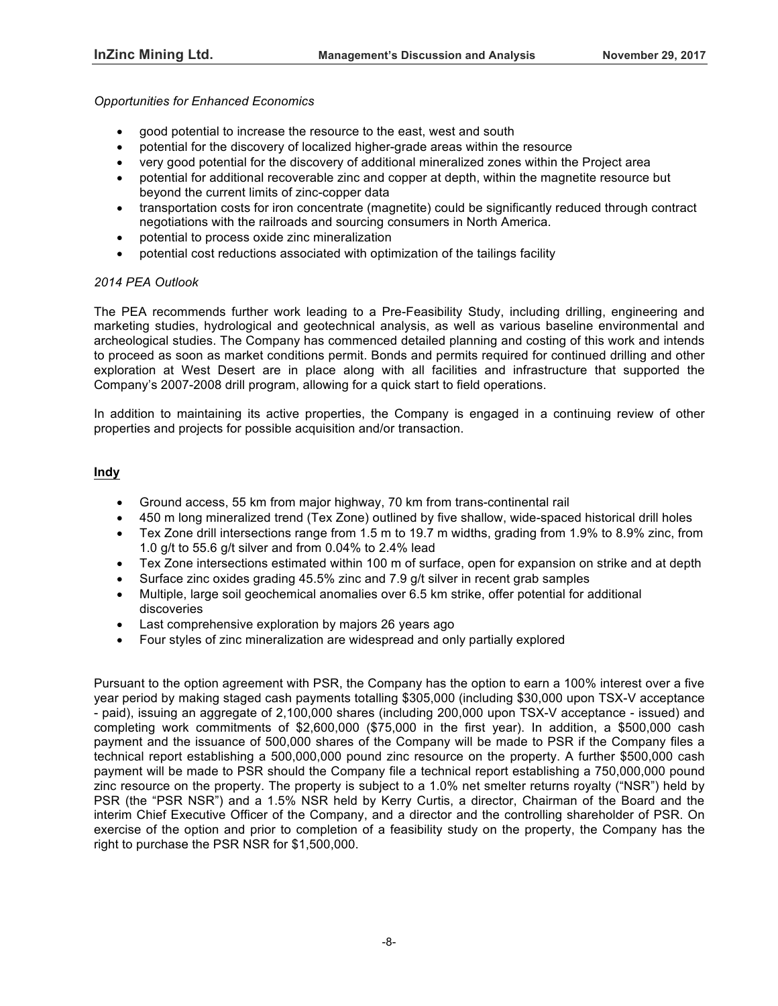## *Opportunities for Enhanced Economics*

- good potential to increase the resource to the east, west and south
- potential for the discovery of localized higher-grade areas within the resource
- very good potential for the discovery of additional mineralized zones within the Project area
- potential for additional recoverable zinc and copper at depth, within the magnetite resource but beyond the current limits of zinc-copper data
- transportation costs for iron concentrate (magnetite) could be significantly reduced through contract negotiations with the railroads and sourcing consumers in North America.
- potential to process oxide zinc mineralization
- potential cost reductions associated with optimization of the tailings facility

#### *2014 PEA Outlook*

The PEA recommends further work leading to a Pre-Feasibility Study, including drilling, engineering and marketing studies, hydrological and geotechnical analysis, as well as various baseline environmental and archeological studies. The Company has commenced detailed planning and costing of this work and intends to proceed as soon as market conditions permit. Bonds and permits required for continued drilling and other exploration at West Desert are in place along with all facilities and infrastructure that supported the Company's 2007-2008 drill program, allowing for a quick start to field operations.

In addition to maintaining its active properties, the Company is engaged in a continuing review of other properties and projects for possible acquisition and/or transaction.

# **Indy**

- Ground access, 55 km from major highway, 70 km from trans-continental rail
- 450 m long mineralized trend (Tex Zone) outlined by five shallow, wide-spaced historical drill holes
- Tex Zone drill intersections range from 1.5 m to 19.7 m widths, grading from 1.9% to 8.9% zinc, from 1.0 g/t to 55.6 g/t silver and from 0.04% to 2.4% lead
- Tex Zone intersections estimated within 100 m of surface, open for expansion on strike and at depth
- Surface zinc oxides grading 45.5% zinc and 7.9 g/t silver in recent grab samples
- Multiple, large soil geochemical anomalies over 6.5 km strike, offer potential for additional discoveries
- Last comprehensive exploration by majors 26 years ago
- Four styles of zinc mineralization are widespread and only partially explored

Pursuant to the option agreement with PSR, the Company has the option to earn a 100% interest over a five year period by making staged cash payments totalling \$305,000 (including \$30,000 upon TSX-V acceptance - paid), issuing an aggregate of 2,100,000 shares (including 200,000 upon TSX-V acceptance - issued) and completing work commitments of \$2,600,000 (\$75,000 in the first year). In addition, a \$500,000 cash payment and the issuance of 500,000 shares of the Company will be made to PSR if the Company files a technical report establishing a 500,000,000 pound zinc resource on the property. A further \$500,000 cash payment will be made to PSR should the Company file a technical report establishing a 750,000,000 pound zinc resource on the property. The property is subject to a 1.0% net smelter returns royalty ("NSR") held by PSR (the "PSR NSR") and a 1.5% NSR held by Kerry Curtis, a director, Chairman of the Board and the interim Chief Executive Officer of the Company, and a director and the controlling shareholder of PSR. On exercise of the option and prior to completion of a feasibility study on the property, the Company has the right to purchase the PSR NSR for \$1,500,000.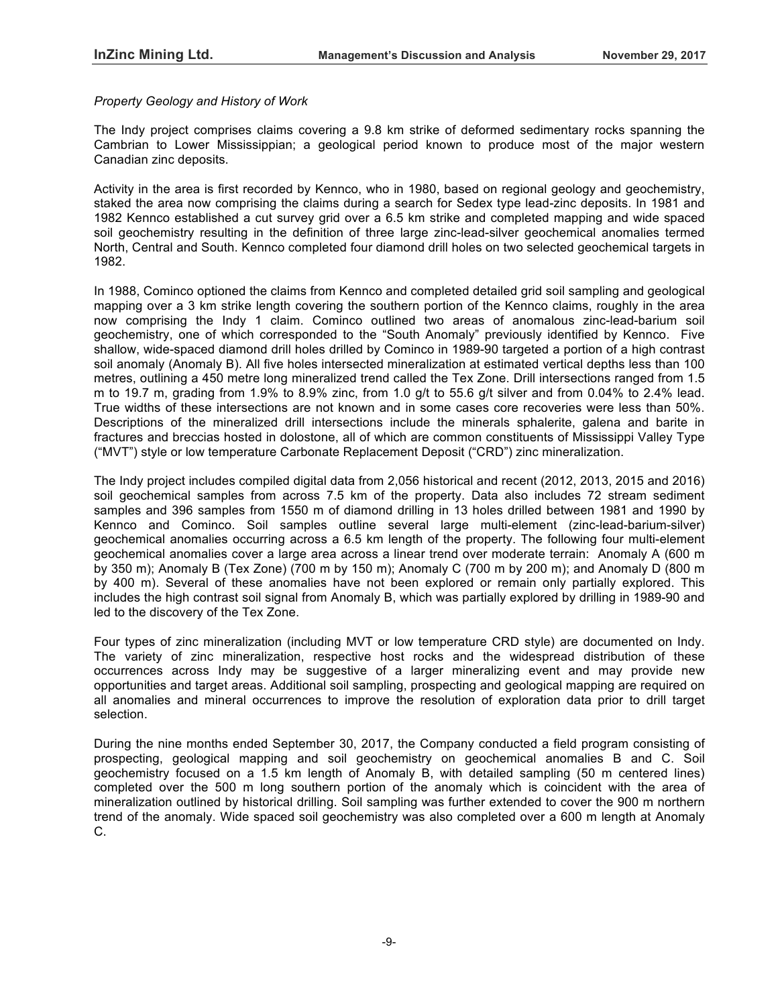## *Property Geology and History of Work*

The Indy project comprises claims covering a 9.8 km strike of deformed sedimentary rocks spanning the Cambrian to Lower Mississippian; a geological period known to produce most of the major western Canadian zinc deposits.

Activity in the area is first recorded by Kennco, who in 1980, based on regional geology and geochemistry, staked the area now comprising the claims during a search for Sedex type lead-zinc deposits. In 1981 and 1982 Kennco established a cut survey grid over a 6.5 km strike and completed mapping and wide spaced soil geochemistry resulting in the definition of three large zinc-lead-silver geochemical anomalies termed North, Central and South. Kennco completed four diamond drill holes on two selected geochemical targets in 1982.

In 1988, Cominco optioned the claims from Kennco and completed detailed grid soil sampling and geological mapping over a 3 km strike length covering the southern portion of the Kennco claims, roughly in the area now comprising the Indy 1 claim. Cominco outlined two areas of anomalous zinc-lead-barium soil geochemistry, one of which corresponded to the "South Anomaly" previously identified by Kennco. Five shallow, wide-spaced diamond drill holes drilled by Cominco in 1989-90 targeted a portion of a high contrast soil anomaly (Anomaly B). All five holes intersected mineralization at estimated vertical depths less than 100 metres, outlining a 450 metre long mineralized trend called the Tex Zone. Drill intersections ranged from 1.5 m to 19.7 m, grading from 1.9% to 8.9% zinc, from 1.0 g/t to 55.6 g/t silver and from 0.04% to 2.4% lead. True widths of these intersections are not known and in some cases core recoveries were less than 50%. Descriptions of the mineralized drill intersections include the minerals sphalerite, galena and barite in fractures and breccias hosted in dolostone, all of which are common constituents of Mississippi Valley Type ("MVT") style or low temperature Carbonate Replacement Deposit ("CRD") zinc mineralization.

The Indy project includes compiled digital data from 2,056 historical and recent (2012, 2013, 2015 and 2016) soil geochemical samples from across 7.5 km of the property. Data also includes 72 stream sediment samples and 396 samples from 1550 m of diamond drilling in 13 holes drilled between 1981 and 1990 by Kennco and Cominco. Soil samples outline several large multi-element (zinc-lead-barium-silver) geochemical anomalies occurring across a 6.5 km length of the property. The following four multi-element geochemical anomalies cover a large area across a linear trend over moderate terrain: Anomaly A (600 m by 350 m); Anomaly B (Tex Zone) (700 m by 150 m); Anomaly C (700 m by 200 m); and Anomaly D (800 m by 400 m). Several of these anomalies have not been explored or remain only partially explored. This includes the high contrast soil signal from Anomaly B, which was partially explored by drilling in 1989-90 and led to the discovery of the Tex Zone.

Four types of zinc mineralization (including MVT or low temperature CRD style) are documented on Indy. The variety of zinc mineralization, respective host rocks and the widespread distribution of these occurrences across Indy may be suggestive of a larger mineralizing event and may provide new opportunities and target areas. Additional soil sampling, prospecting and geological mapping are required on all anomalies and mineral occurrences to improve the resolution of exploration data prior to drill target selection.

During the nine months ended September 30, 2017, the Company conducted a field program consisting of prospecting, geological mapping and soil geochemistry on geochemical anomalies B and C. Soil geochemistry focused on a 1.5 km length of Anomaly B, with detailed sampling (50 m centered lines) completed over the 500 m long southern portion of the anomaly which is coincident with the area of mineralization outlined by historical drilling. Soil sampling was further extended to cover the 900 m northern trend of the anomaly. Wide spaced soil geochemistry was also completed over a 600 m length at Anomaly C.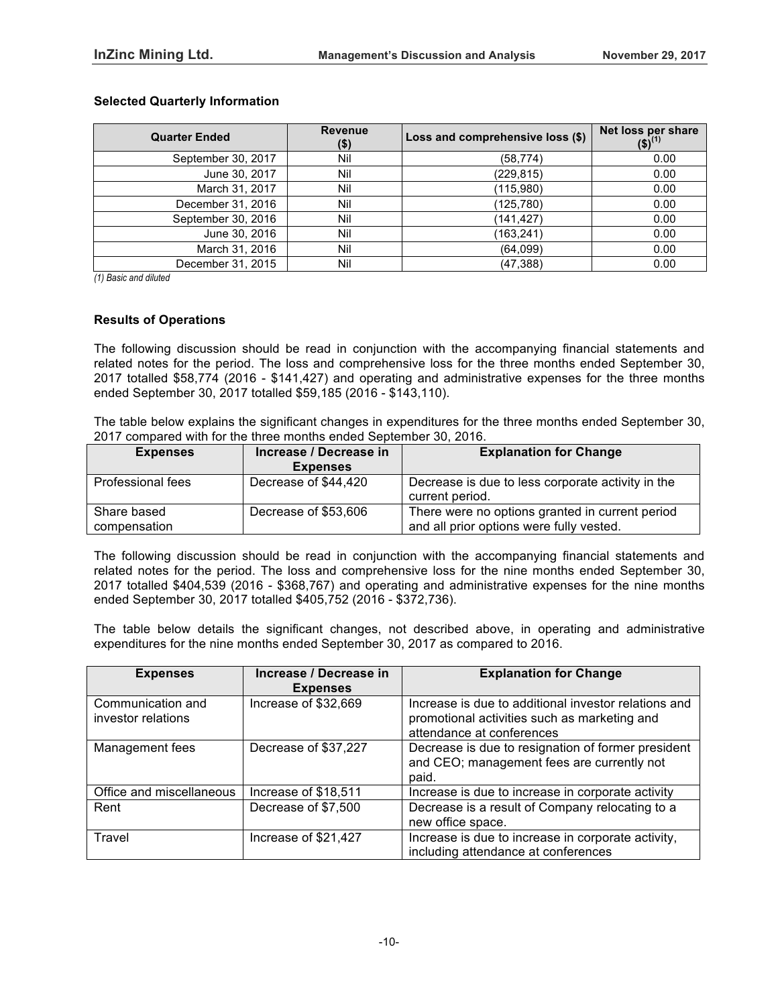## **Selected Quarterly Information**

| <b>Quarter Ended</b> | <b>Revenue</b><br>$($ \$) | Loss and comprehensive loss (\$) | Net loss per share<br>(\$) <sup>(1)</sup> |
|----------------------|---------------------------|----------------------------------|-------------------------------------------|
| September 30, 2017   | Nil                       | (58, 774)                        | 0.00                                      |
| June 30, 2017        | Nil                       | (229, 815)                       | 0.00                                      |
| March 31, 2017       | Nil                       | (115,980)                        | 0.00                                      |
| December 31, 2016    | Nil                       | (125, 780)                       | 0.00                                      |
| September 30, 2016   | Nil                       | (141, 427)                       | 0.00                                      |
| June 30, 2016        | Nil                       | (163, 241)                       | 0.00                                      |
| March 31, 2016       | Nil                       | (64,099)                         | 0.00                                      |
| December 31, 2015    | Nil                       | (47, 388)                        | 0.00                                      |

*(1) Basic and diluted*

#### **Results of Operations**

The following discussion should be read in conjunction with the accompanying financial statements and related notes for the period. The loss and comprehensive loss for the three months ended September 30, 2017 totalled \$58,774 (2016 - \$141,427) and operating and administrative expenses for the three months ended September 30, 2017 totalled \$59,185 (2016 - \$143,110).

The table below explains the significant changes in expenditures for the three months ended September 30, 2017 compared with for the three months ended September 30, 2016.

| <b>Expenses</b>             | Increase / Decrease in<br><b>Expenses</b> | <b>Explanation for Change</b>                                                               |
|-----------------------------|-------------------------------------------|---------------------------------------------------------------------------------------------|
| Professional fees           | Decrease of \$44,420                      | Decrease is due to less corporate activity in the<br>current period.                        |
| Share based<br>compensation | Decrease of \$53,606                      | There were no options granted in current period<br>and all prior options were fully vested. |

The following discussion should be read in conjunction with the accompanying financial statements and related notes for the period. The loss and comprehensive loss for the nine months ended September 30, 2017 totalled \$404,539 (2016 - \$368,767) and operating and administrative expenses for the nine months ended September 30, 2017 totalled \$405,752 (2016 - \$372,736).

The table below details the significant changes, not described above, in operating and administrative expenditures for the nine months ended September 30, 2017 as compared to 2016.

| <b>Expenses</b>                         | Increase / Decrease in<br><b>Expenses</b> | <b>Explanation for Change</b>                                                                                                     |
|-----------------------------------------|-------------------------------------------|-----------------------------------------------------------------------------------------------------------------------------------|
| Communication and<br>investor relations | Increase of \$32,669                      | Increase is due to additional investor relations and<br>promotional activities such as marketing and<br>attendance at conferences |
| Management fees                         | Decrease of \$37,227                      | Decrease is due to resignation of former president<br>and CEO; management fees are currently not<br>paid.                         |
| Office and miscellaneous                | Increase of \$18,511                      | Increase is due to increase in corporate activity                                                                                 |
| Rent                                    | Decrease of \$7,500                       | Decrease is a result of Company relocating to a<br>new office space.                                                              |
| Travel                                  | Increase of \$21,427                      | Increase is due to increase in corporate activity,<br>including attendance at conferences                                         |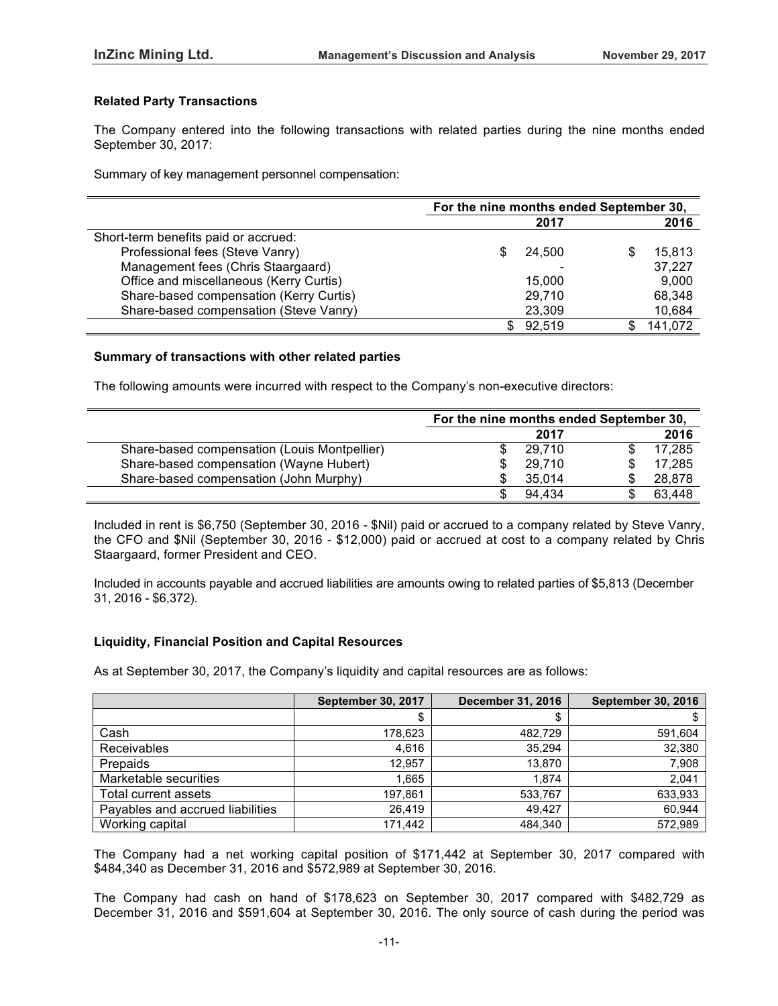## **Related Party Transactions**

The Company entered into the following transactions with related parties during the nine months ended September 30, 2017:

Summary of key management personnel compensation:

|                                         |    | For the nine months ended September 30, |   |         |  |
|-----------------------------------------|----|-----------------------------------------|---|---------|--|
|                                         |    | 2017                                    |   | 2016    |  |
| Short-term benefits paid or accrued:    |    |                                         |   |         |  |
| Professional fees (Steve Vanry)         |    | 24.500                                  | S | 15.813  |  |
| Management fees (Chris Staargaard)      |    |                                         |   | 37,227  |  |
| Office and miscellaneous (Kerry Curtis) |    | 15,000                                  |   | 9,000   |  |
| Share-based compensation (Kerry Curtis) |    | 29.710                                  |   | 68,348  |  |
| Share-based compensation (Steve Vanry)  |    | 23,309                                  |   | 10,684  |  |
|                                         | S. | 92.519                                  |   | 141,072 |  |

#### **Summary of transactions with other related parties**

The following amounts were incurred with respect to the Company's non-executive directors:

|                                              | For the nine months ended September 30, |        |  |        |
|----------------------------------------------|-----------------------------------------|--------|--|--------|
|                                              |                                         | 2017   |  | 2016   |
| Share-based compensation (Louis Montpellier) |                                         | 29.710 |  | 17,285 |
| Share-based compensation (Wayne Hubert)      |                                         | 29.710 |  | 17.285 |
| Share-based compensation (John Murphy)       |                                         | 35.014 |  | 28,878 |
|                                              |                                         | 94.434 |  | 63,448 |

Included in rent is \$6,750 (September 30, 2016 - \$Nil) paid or accrued to a company related by Steve Vanry, the CFO and \$Nil (September 30, 2016 - \$12,000) paid or accrued at cost to a company related by Chris Staargaard, former President and CEO.

Included in accounts payable and accrued liabilities are amounts owing to related parties of \$5,813 (December 31, 2016 - \$6,372).

# **Liquidity, Financial Position and Capital Resources**

As at September 30, 2017, the Company's liquidity and capital resources are as follows:

|                                  | <b>September 30, 2017</b> | <b>December 31, 2016</b> | <b>September 30, 2016</b> |
|----------------------------------|---------------------------|--------------------------|---------------------------|
|                                  | \$                        |                          |                           |
| Cash                             | 178,623                   | 482,729                  | 591,604                   |
| Receivables                      | 4.616                     | 35.294                   | 32,380                    |
| Prepaids                         | 12.957                    | 13.870                   | 7,908                     |
| Marketable securities            | 1.665                     | 1.874                    | 2,041                     |
| Total current assets             | 197.861                   | 533,767                  | 633,933                   |
| Payables and accrued liabilities | 26.419                    | 49.427                   | 60,944                    |
| Working capital                  | 171,442                   | 484.340                  | 572,989                   |

The Company had a net working capital position of \$171,442 at September 30, 2017 compared with \$484,340 as December 31, 2016 and \$572,989 at September 30, 2016.

The Company had cash on hand of \$178,623 on September 30, 2017 compared with \$482,729 as December 31, 2016 and \$591,604 at September 30, 2016. The only source of cash during the period was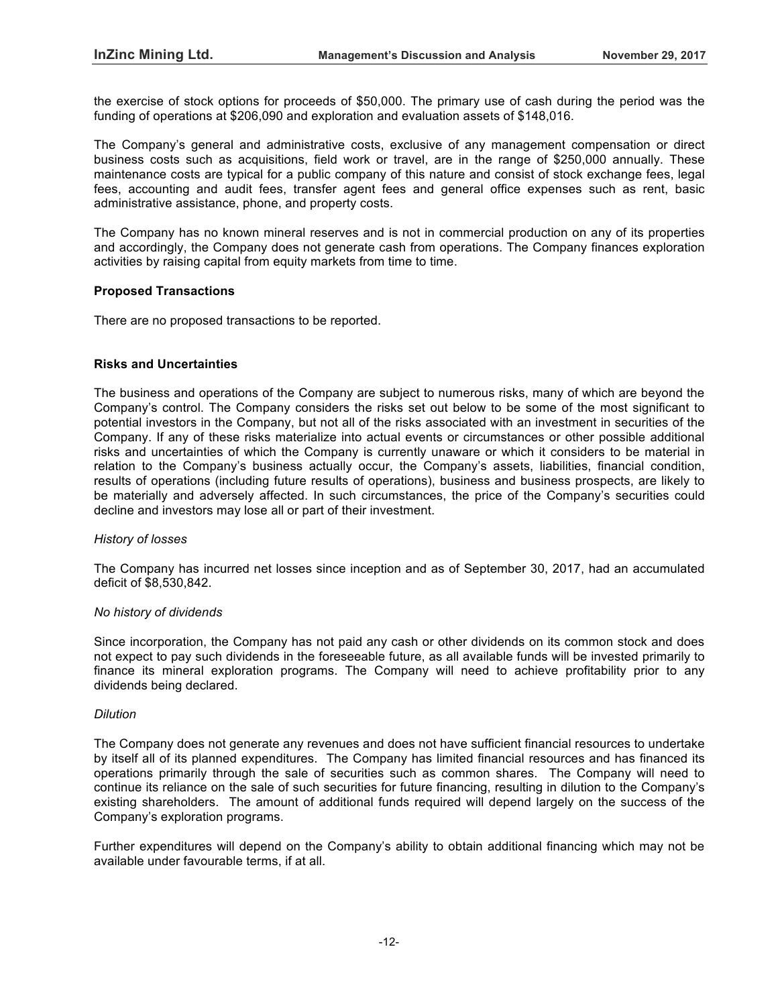the exercise of stock options for proceeds of \$50,000. The primary use of cash during the period was the funding of operations at \$206,090 and exploration and evaluation assets of \$148,016.

The Company's general and administrative costs, exclusive of any management compensation or direct business costs such as acquisitions, field work or travel, are in the range of \$250,000 annually. These maintenance costs are typical for a public company of this nature and consist of stock exchange fees, legal fees, accounting and audit fees, transfer agent fees and general office expenses such as rent, basic administrative assistance, phone, and property costs.

The Company has no known mineral reserves and is not in commercial production on any of its properties and accordingly, the Company does not generate cash from operations. The Company finances exploration activities by raising capital from equity markets from time to time.

## **Proposed Transactions**

There are no proposed transactions to be reported.

## **Risks and Uncertainties**

The business and operations of the Company are subject to numerous risks, many of which are beyond the Company's control. The Company considers the risks set out below to be some of the most significant to potential investors in the Company, but not all of the risks associated with an investment in securities of the Company. If any of these risks materialize into actual events or circumstances or other possible additional risks and uncertainties of which the Company is currently unaware or which it considers to be material in relation to the Company's business actually occur, the Company's assets, liabilities, financial condition, results of operations (including future results of operations), business and business prospects, are likely to be materially and adversely affected. In such circumstances, the price of the Company's securities could decline and investors may lose all or part of their investment.

#### *History of losses*

The Company has incurred net losses since inception and as of September 30, 2017, had an accumulated deficit of \$8,530,842.

#### *No history of dividends*

Since incorporation, the Company has not paid any cash or other dividends on its common stock and does not expect to pay such dividends in the foreseeable future, as all available funds will be invested primarily to finance its mineral exploration programs. The Company will need to achieve profitability prior to any dividends being declared.

## *Dilution*

The Company does not generate any revenues and does not have sufficient financial resources to undertake by itself all of its planned expenditures. The Company has limited financial resources and has financed its operations primarily through the sale of securities such as common shares. The Company will need to continue its reliance on the sale of such securities for future financing, resulting in dilution to the Company's existing shareholders. The amount of additional funds required will depend largely on the success of the Company's exploration programs.

Further expenditures will depend on the Company's ability to obtain additional financing which may not be available under favourable terms, if at all.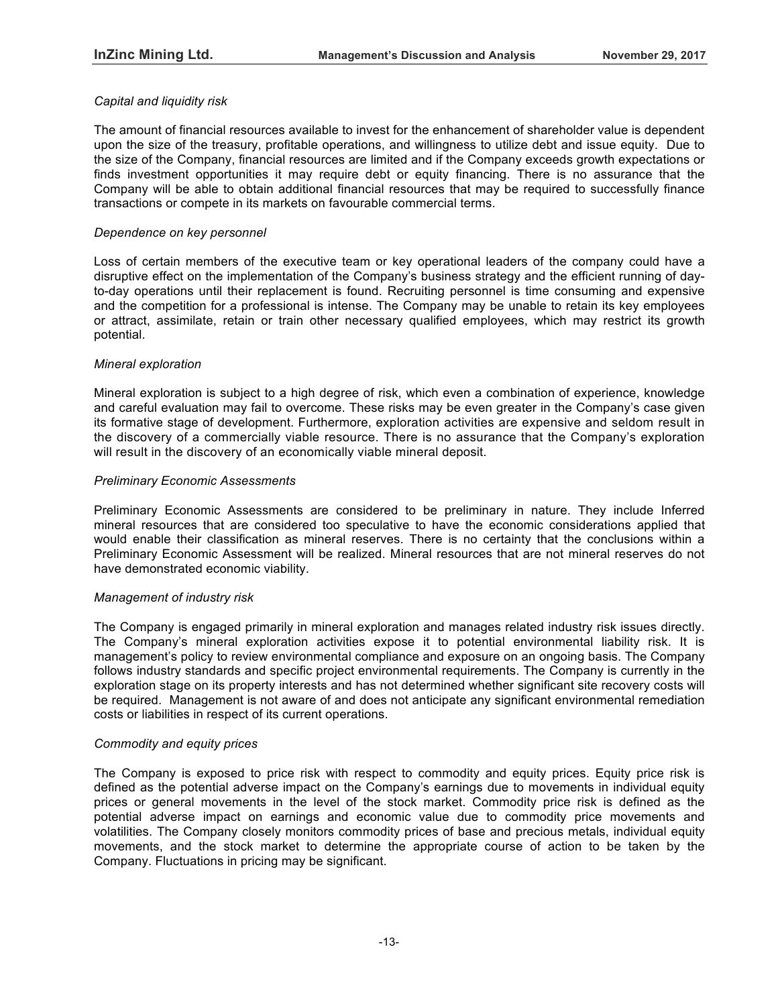# *Capital and liquidity risk*

The amount of financial resources available to invest for the enhancement of shareholder value is dependent upon the size of the treasury, profitable operations, and willingness to utilize debt and issue equity. Due to the size of the Company, financial resources are limited and if the Company exceeds growth expectations or finds investment opportunities it may require debt or equity financing. There is no assurance that the Company will be able to obtain additional financial resources that may be required to successfully finance transactions or compete in its markets on favourable commercial terms.

## *Dependence on key personnel*

Loss of certain members of the executive team or key operational leaders of the company could have a disruptive effect on the implementation of the Company's business strategy and the efficient running of dayto-day operations until their replacement is found. Recruiting personnel is time consuming and expensive and the competition for a professional is intense. The Company may be unable to retain its key employees or attract, assimilate, retain or train other necessary qualified employees, which may restrict its growth potential.

## *Mineral exploration*

Mineral exploration is subject to a high degree of risk, which even a combination of experience, knowledge and careful evaluation may fail to overcome. These risks may be even greater in the Company's case given its formative stage of development. Furthermore, exploration activities are expensive and seldom result in the discovery of a commercially viable resource. There is no assurance that the Company's exploration will result in the discovery of an economically viable mineral deposit.

## *Preliminary Economic Assessments*

Preliminary Economic Assessments are considered to be preliminary in nature. They include Inferred mineral resources that are considered too speculative to have the economic considerations applied that would enable their classification as mineral reserves. There is no certainty that the conclusions within a Preliminary Economic Assessment will be realized. Mineral resources that are not mineral reserves do not have demonstrated economic viability.

## *Management of industry risk*

The Company is engaged primarily in mineral exploration and manages related industry risk issues directly. The Company's mineral exploration activities expose it to potential environmental liability risk. It is management's policy to review environmental compliance and exposure on an ongoing basis. The Company follows industry standards and specific project environmental requirements. The Company is currently in the exploration stage on its property interests and has not determined whether significant site recovery costs will be required. Management is not aware of and does not anticipate any significant environmental remediation costs or liabilities in respect of its current operations.

## *Commodity and equity prices*

The Company is exposed to price risk with respect to commodity and equity prices. Equity price risk is defined as the potential adverse impact on the Company's earnings due to movements in individual equity prices or general movements in the level of the stock market. Commodity price risk is defined as the potential adverse impact on earnings and economic value due to commodity price movements and volatilities. The Company closely monitors commodity prices of base and precious metals, individual equity movements, and the stock market to determine the appropriate course of action to be taken by the Company. Fluctuations in pricing may be significant.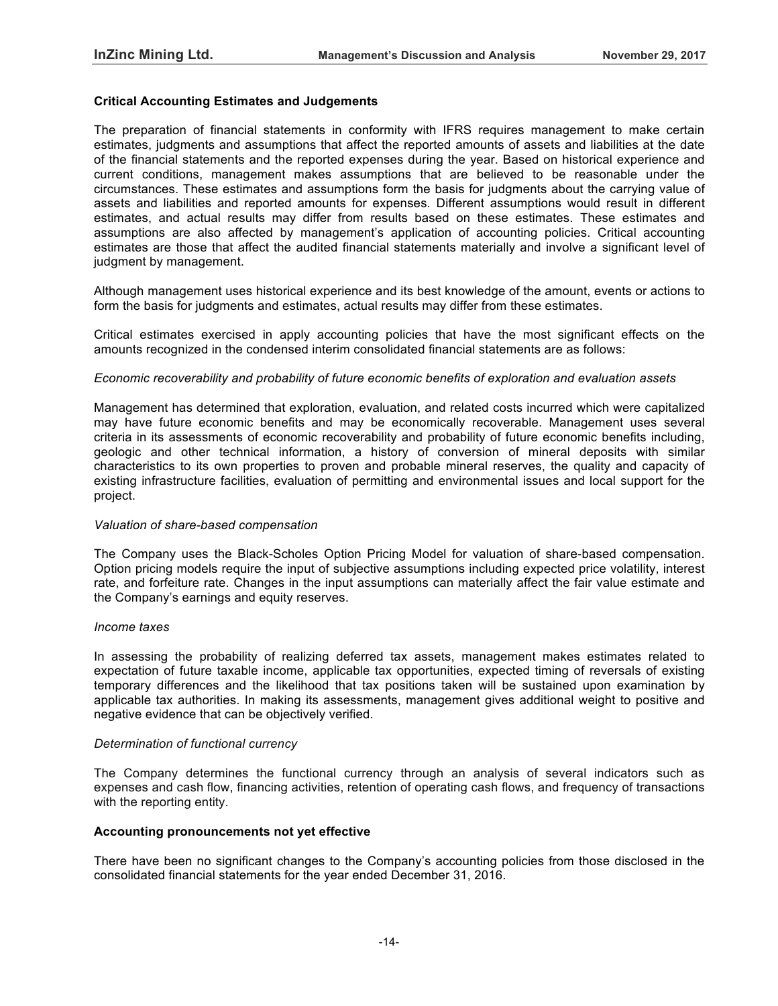#### **Critical Accounting Estimates and Judgements**

The preparation of financial statements in conformity with IFRS requires management to make certain estimates, judgments and assumptions that affect the reported amounts of assets and liabilities at the date of the financial statements and the reported expenses during the year. Based on historical experience and current conditions, management makes assumptions that are believed to be reasonable under the circumstances. These estimates and assumptions form the basis for judgments about the carrying value of assets and liabilities and reported amounts for expenses. Different assumptions would result in different estimates, and actual results may differ from results based on these estimates. These estimates and assumptions are also affected by management's application of accounting policies. Critical accounting estimates are those that affect the audited financial statements materially and involve a significant level of judgment by management.

Although management uses historical experience and its best knowledge of the amount, events or actions to form the basis for judgments and estimates, actual results may differ from these estimates.

Critical estimates exercised in apply accounting policies that have the most significant effects on the amounts recognized in the condensed interim consolidated financial statements are as follows:

#### *Economic recoverability and probability of future economic benefits of exploration and evaluation assets*

Management has determined that exploration, evaluation, and related costs incurred which were capitalized may have future economic benefits and may be economically recoverable. Management uses several criteria in its assessments of economic recoverability and probability of future economic benefits including, geologic and other technical information, a history of conversion of mineral deposits with similar characteristics to its own properties to proven and probable mineral reserves, the quality and capacity of existing infrastructure facilities, evaluation of permitting and environmental issues and local support for the project.

#### *Valuation of share-based compensation*

The Company uses the Black-Scholes Option Pricing Model for valuation of share-based compensation. Option pricing models require the input of subjective assumptions including expected price volatility, interest rate, and forfeiture rate. Changes in the input assumptions can materially affect the fair value estimate and the Company's earnings and equity reserves.

#### *Income taxes*

In assessing the probability of realizing deferred tax assets, management makes estimates related to expectation of future taxable income, applicable tax opportunities, expected timing of reversals of existing temporary differences and the likelihood that tax positions taken will be sustained upon examination by applicable tax authorities. In making its assessments, management gives additional weight to positive and negative evidence that can be objectively verified.

#### *Determination of functional currency*

The Company determines the functional currency through an analysis of several indicators such as expenses and cash flow, financing activities, retention of operating cash flows, and frequency of transactions with the reporting entity.

#### **Accounting pronouncements not yet effective**

There have been no significant changes to the Company's accounting policies from those disclosed in the consolidated financial statements for the year ended December 31, 2016.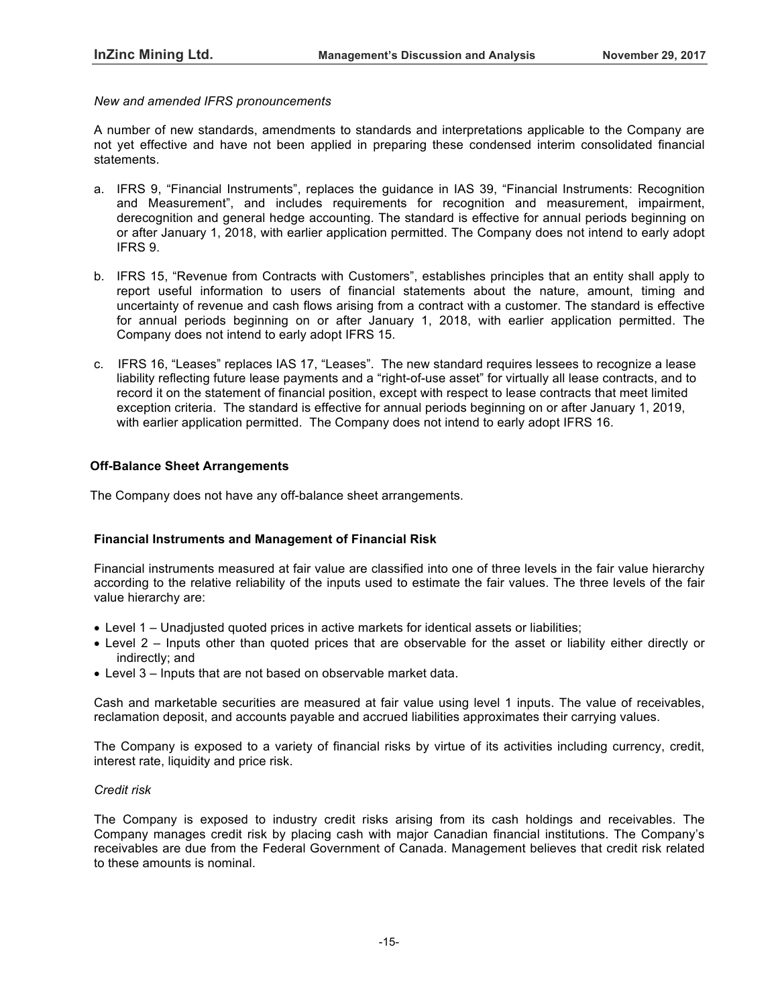#### *New and amended IFRS pronouncements*

A number of new standards, amendments to standards and interpretations applicable to the Company are not yet effective and have not been applied in preparing these condensed interim consolidated financial statements.

- a. IFRS 9, "Financial Instruments", replaces the guidance in IAS 39, "Financial Instruments: Recognition and Measurement", and includes requirements for recognition and measurement, impairment, derecognition and general hedge accounting. The standard is effective for annual periods beginning on or after January 1, 2018, with earlier application permitted. The Company does not intend to early adopt IFRS 9.
- b. IFRS 15, "Revenue from Contracts with Customers", establishes principles that an entity shall apply to report useful information to users of financial statements about the nature, amount, timing and uncertainty of revenue and cash flows arising from a contract with a customer. The standard is effective for annual periods beginning on or after January 1, 2018, with earlier application permitted. The Company does not intend to early adopt IFRS 15.
- c. IFRS 16, "Leases" replaces IAS 17, "Leases". The new standard requires lessees to recognize a lease liability reflecting future lease payments and a "right-of-use asset" for virtually all lease contracts, and to record it on the statement of financial position, except with respect to lease contracts that meet limited exception criteria. The standard is effective for annual periods beginning on or after January 1, 2019, with earlier application permitted. The Company does not intend to early adopt IFRS 16.

## **Off-Balance Sheet Arrangements**

The Company does not have any off-balance sheet arrangements.

## **Financial Instruments and Management of Financial Risk**

Financial instruments measured at fair value are classified into one of three levels in the fair value hierarchy according to the relative reliability of the inputs used to estimate the fair values. The three levels of the fair value hierarchy are:

- Level 1 Unadjusted quoted prices in active markets for identical assets or liabilities;
- Level 2 Inputs other than quoted prices that are observable for the asset or liability either directly or indirectly; and
- Level 3 Inputs that are not based on observable market data.

Cash and marketable securities are measured at fair value using level 1 inputs. The value of receivables, reclamation deposit, and accounts payable and accrued liabilities approximates their carrying values.

The Company is exposed to a variety of financial risks by virtue of its activities including currency, credit, interest rate, liquidity and price risk.

## *Credit risk*

The Company is exposed to industry credit risks arising from its cash holdings and receivables. The Company manages credit risk by placing cash with major Canadian financial institutions. The Company's receivables are due from the Federal Government of Canada. Management believes that credit risk related to these amounts is nominal.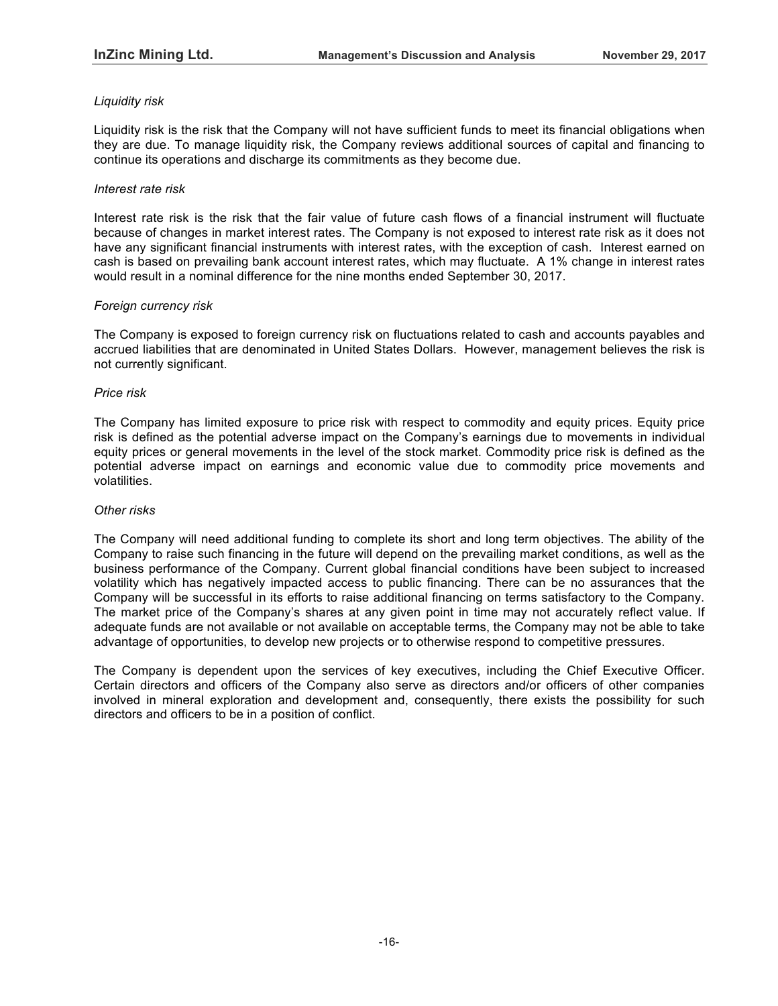# *Liquidity risk*

Liquidity risk is the risk that the Company will not have sufficient funds to meet its financial obligations when they are due. To manage liquidity risk, the Company reviews additional sources of capital and financing to continue its operations and discharge its commitments as they become due.

## *Interest rate risk*

Interest rate risk is the risk that the fair value of future cash flows of a financial instrument will fluctuate because of changes in market interest rates. The Company is not exposed to interest rate risk as it does not have any significant financial instruments with interest rates, with the exception of cash. Interest earned on cash is based on prevailing bank account interest rates, which may fluctuate. A 1% change in interest rates would result in a nominal difference for the nine months ended September 30, 2017.

#### *Foreign currency risk*

The Company is exposed to foreign currency risk on fluctuations related to cash and accounts payables and accrued liabilities that are denominated in United States Dollars. However, management believes the risk is not currently significant.

#### *Price risk*

The Company has limited exposure to price risk with respect to commodity and equity prices. Equity price risk is defined as the potential adverse impact on the Company's earnings due to movements in individual equity prices or general movements in the level of the stock market. Commodity price risk is defined as the potential adverse impact on earnings and economic value due to commodity price movements and volatilities.

#### *Other risks*

The Company will need additional funding to complete its short and long term objectives. The ability of the Company to raise such financing in the future will depend on the prevailing market conditions, as well as the business performance of the Company. Current global financial conditions have been subject to increased volatility which has negatively impacted access to public financing. There can be no assurances that the Company will be successful in its efforts to raise additional financing on terms satisfactory to the Company. The market price of the Company's shares at any given point in time may not accurately reflect value. If adequate funds are not available or not available on acceptable terms, the Company may not be able to take advantage of opportunities, to develop new projects or to otherwise respond to competitive pressures.

The Company is dependent upon the services of key executives, including the Chief Executive Officer. Certain directors and officers of the Company also serve as directors and/or officers of other companies involved in mineral exploration and development and, consequently, there exists the possibility for such directors and officers to be in a position of conflict.